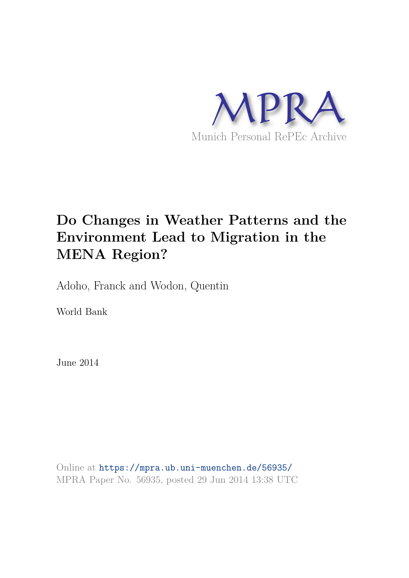

# **Do Changes in Weather Patterns and the Environment Lead to Migration in the MENA Region?**

Adoho, Franck and Wodon, Quentin

World Bank

June 2014

Online at https://mpra.ub.uni-muenchen.de/56935/ MPRA Paper No. 56935, posted 29 Jun 2014 13:38 UTC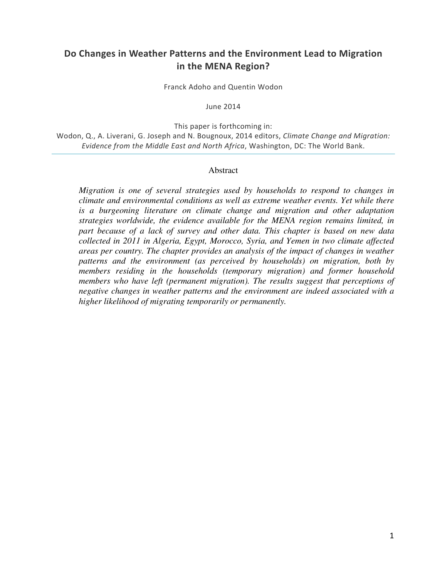## **Do Changes in Weather Patterns and the Environment Lead to Migration in the MENA Region?**

Franck Adoho and Quentin Wodon

June 2014

This paper is forthcoming in:

Wodon, Q., A. Liverani, G. Joseph and N. Bougnoux, 2014 editors, *Climate Change and Migration: Evidence from the Middle East and North Africa*, Washington, DC: The World Bank.

#### Abstract

*Migration is one of several strategies used by households to respond to changes in climate and environmental conditions as well as extreme weather events. Yet while there is a burgeoning literature on climate change and migration and other adaptation strategies worldwide, the evidence available for the MENA region remains limited, in part because of a lack of survey and other data. This chapter is based on new data collected in 2011 in Algeria, Egypt, Morocco, Syria, and Yemen in two climate affected areas per country. The chapter provides an analysis of the impact of changes in weather patterns and the environment (as perceived by households) on migration, both by members residing in the households (temporary migration) and former household members who have left (permanent migration). The results suggest that perceptions of negative changes in weather patterns and the environment are indeed associated with a higher likelihood of migrating temporarily or permanently.*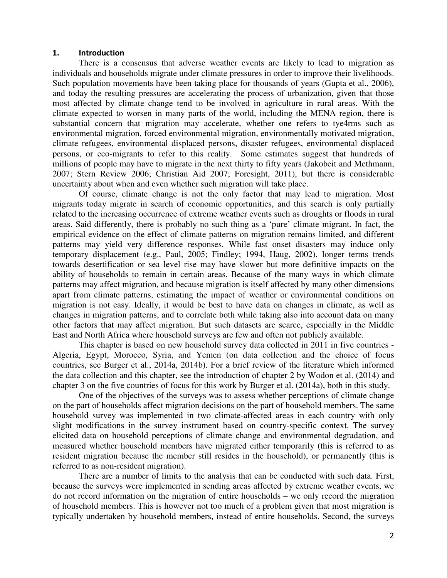## **1. Introduction**

There is a consensus that adverse weather events are likely to lead to migration as individuals and households migrate under climate pressures in order to improve their livelihoods. Such population movements have been taking place for thousands of years (Gupta et al., 2006), and today the resulting pressures are accelerating the process of urbanization, given that those most affected by climate change tend to be involved in agriculture in rural areas. With the climate expected to worsen in many parts of the world, including the MENA region, there is substantial concern that migration may accelerate, whether one refers to tye4rms such as environmental migration, forced environmental migration, environmentally motivated migration, climate refugees, environmental displaced persons, disaster refugees, environmental displaced persons, or eco-migrants to refer to this reality. Some estimates suggest that hundreds of millions of people may have to migrate in the next thirty to fifty years (Jakobeit and Methmann, 2007; Stern Review 2006; Christian Aid 2007; Foresight, 2011), but there is considerable uncertainty about when and even whether such migration will take place.

Of course, climate change is not the only factor that may lead to migration. Most migrants today migrate in search of economic opportunities, and this search is only partially related to the increasing occurrence of extreme weather events such as droughts or floods in rural areas. Said differently, there is probably no such thing as a 'pure' climate migrant. In fact, the empirical evidence on the effect of climate patterns on migration remains limited, and different patterns may yield very difference responses. While fast onset disasters may induce only temporary displacement (e.g., Paul, 2005; Findley; 1994, Haug, 2002), longer terms trends towards desertification or sea level rise may have slower but more definitive impacts on the ability of households to remain in certain areas. Because of the many ways in which climate patterns may affect migration, and because migration is itself affected by many other dimensions apart from climate patterns, estimating the impact of weather or environmental conditions on migration is not easy. Ideally, it would be best to have data on changes in climate, as well as changes in migration patterns, and to correlate both while taking also into account data on many other factors that may affect migration. But such datasets are scarce, especially in the Middle East and North Africa where household surveys are few and often not publicly available.

This chapter is based on new household survey data collected in 2011 in five countries - Algeria, Egypt, Morocco, Syria, and Yemen (on data collection and the choice of focus countries, see Burger et al., 2014a, 2014b). For a brief review of the literature which informed the data collection and this chapter, see the introduction of chapter 2 by Wodon et al. (2014) and chapter 3 on the five countries of focus for this work by Burger et al. (2014a), both in this study.

One of the objectives of the surveys was to assess whether perceptions of climate change on the part of households affect migration decisions on the part of household members. The same household survey was implemented in two climate-affected areas in each country with only slight modifications in the survey instrument based on country-specific context. The survey elicited data on household perceptions of climate change and environmental degradation, and measured whether household members have migrated either temporarily (this is referred to as resident migration because the member still resides in the household), or permanently (this is referred to as non-resident migration).

There are a number of limits to the analysis that can be conducted with such data. First, because the surveys were implemented in sending areas affected by extreme weather events, we do not record information on the migration of entire households – we only record the migration of household members. This is however not too much of a problem given that most migration is typically undertaken by household members, instead of entire households. Second, the surveys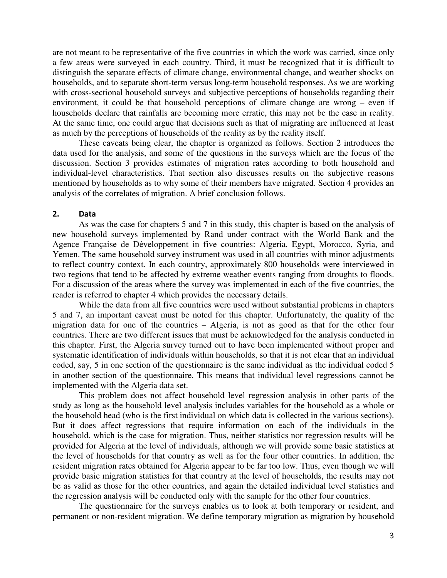are not meant to be representative of the five countries in which the work was carried, since only a few areas were surveyed in each country. Third, it must be recognized that it is difficult to distinguish the separate effects of climate change, environmental change, and weather shocks on households, and to separate short-term versus long-term household responses. As we are working with cross-sectional household surveys and subjective perceptions of households regarding their environment, it could be that household perceptions of climate change are wrong – even if households declare that rainfalls are becoming more erratic, this may not be the case in reality. At the same time, one could argue that decisions such as that of migrating are influenced at least as much by the perceptions of households of the reality as by the reality itself.

These caveats being clear, the chapter is organized as follows. Section 2 introduces the data used for the analysis, and some of the questions in the surveys which are the focus of the discussion. Section 3 provides estimates of migration rates according to both household and individual-level characteristics. That section also discusses results on the subjective reasons mentioned by households as to why some of their members have migrated. Section 4 provides an analysis of the correlates of migration. A brief conclusion follows.

## **2. Data**

As was the case for chapters 5 and 7 in this study, this chapter is based on the analysis of new household surveys implemented by Rand under contract with the World Bank and the Agence Française de Développement in five countries: Algeria, Egypt, Morocco, Syria, and Yemen. The same household survey instrument was used in all countries with minor adjustments to reflect country context. In each country, approximately 800 households were interviewed in two regions that tend to be affected by extreme weather events ranging from droughts to floods. For a discussion of the areas where the survey was implemented in each of the five countries, the reader is referred to chapter 4 which provides the necessary details.

While the data from all five countries were used without substantial problems in chapters 5 and 7, an important caveat must be noted for this chapter. Unfortunately, the quality of the migration data for one of the countries – Algeria, is not as good as that for the other four countries. There are two different issues that must be acknowledged for the analysis conducted in this chapter. First, the Algeria survey turned out to have been implemented without proper and systematic identification of individuals within households, so that it is not clear that an individual coded, say, 5 in one section of the questionnaire is the same individual as the individual coded 5 in another section of the questionnaire. This means that individual level regressions cannot be implemented with the Algeria data set.

This problem does not affect household level regression analysis in other parts of the study as long as the household level analysis includes variables for the household as a whole or the household head (who is the first individual on which data is collected in the various sections). But it does affect regressions that require information on each of the individuals in the household, which is the case for migration. Thus, neither statistics nor regression results will be provided for Algeria at the level of individuals, although we will provide some basic statistics at the level of households for that country as well as for the four other countries. In addition, the resident migration rates obtained for Algeria appear to be far too low. Thus, even though we will provide basic migration statistics for that country at the level of households, the results may not be as valid as those for the other countries, and again the detailed individual level statistics and the regression analysis will be conducted only with the sample for the other four countries.

The questionnaire for the surveys enables us to look at both temporary or resident, and permanent or non-resident migration. We define temporary migration as migration by household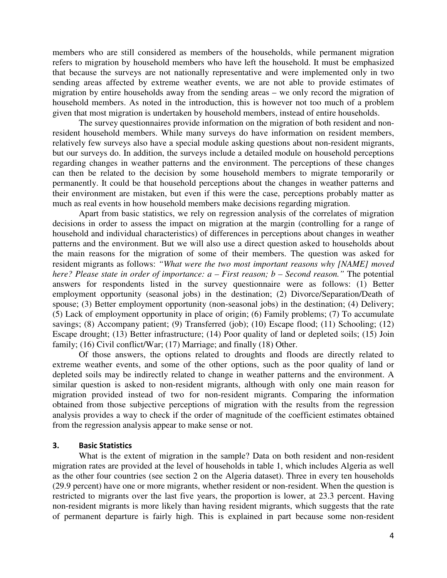members who are still considered as members of the households, while permanent migration refers to migration by household members who have left the household. It must be emphasized that because the surveys are not nationally representative and were implemented only in two sending areas affected by extreme weather events, we are not able to provide estimates of migration by entire households away from the sending areas – we only record the migration of household members. As noted in the introduction, this is however not too much of a problem given that most migration is undertaken by household members, instead of entire households.

The survey questionnaires provide information on the migration of both resident and nonresident household members. While many surveys do have information on resident members, relatively few surveys also have a special module asking questions about non-resident migrants, but our surveys do. In addition, the surveys include a detailed module on household perceptions regarding changes in weather patterns and the environment. The perceptions of these changes can then be related to the decision by some household members to migrate temporarily or permanently. It could be that household perceptions about the changes in weather patterns and their environment are mistaken, but even if this were the case, perceptions probably matter as much as real events in how household members make decisions regarding migration.

Apart from basic statistics, we rely on regression analysis of the correlates of migration decisions in order to assess the impact on migration at the margin (controlling for a range of household and individual characteristics) of differences in perceptions about changes in weather patterns and the environment. But we will also use a direct question asked to households about the main reasons for the migration of some of their members. The question was asked for resident migrants as follows: *"What were the two most important reasons why [NAME] moved here? Please state in order of importance: a – First reason; b – Second reason."* The potential answers for respondents listed in the survey questionnaire were as follows: (1) Better employment opportunity (seasonal jobs) in the destination; (2) Divorce/Separation/Death of spouse; (3) Better employment opportunity (non-seasonal jobs) in the destination; (4) Delivery; (5) Lack of employment opportunity in place of origin; (6) Family problems; (7) To accumulate savings; (8) Accompany patient; (9) Transferred (job); (10) Escape flood; (11) Schooling; (12) Escape drought; (13) Better infrastructure; (14) Poor quality of land or depleted soils; (15) Join family; (16) Civil conflict/War; (17) Marriage; and finally (18) Other.

Of those answers, the options related to droughts and floods are directly related to extreme weather events, and some of the other options, such as the poor quality of land or depleted soils may be indirectly related to change in weather patterns and the environment. A similar question is asked to non-resident migrants, although with only one main reason for migration provided instead of two for non-resident migrants. Comparing the information obtained from those subjective perceptions of migration with the results from the regression analysis provides a way to check if the order of magnitude of the coefficient estimates obtained from the regression analysis appear to make sense or not.

## **3. Basic Statistics**

What is the extent of migration in the sample? Data on both resident and non-resident migration rates are provided at the level of households in table 1, which includes Algeria as well as the other four countries (see section 2 on the Algeria dataset). Three in every ten households (29.9 percent) have one or more migrants, whether resident or non-resident. When the question is restricted to migrants over the last five years, the proportion is lower, at 23.3 percent. Having non-resident migrants is more likely than having resident migrants, which suggests that the rate of permanent departure is fairly high. This is explained in part because some non-resident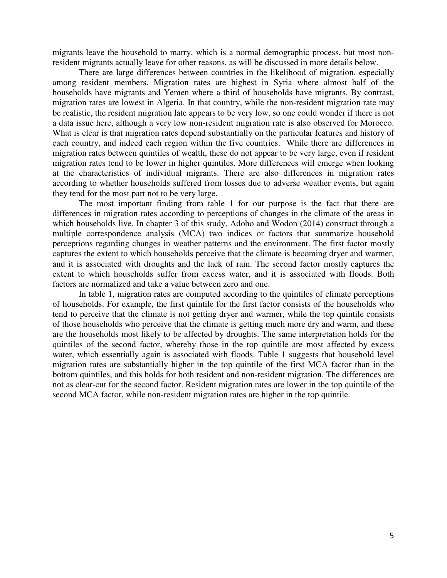migrants leave the household to marry, which is a normal demographic process, but most nonresident migrants actually leave for other reasons, as will be discussed in more details below.

There are large differences between countries in the likelihood of migration, especially among resident members. Migration rates are highest in Syria where almost half of the households have migrants and Yemen where a third of households have migrants. By contrast, migration rates are lowest in Algeria. In that country, while the non-resident migration rate may be realistic, the resident migration late appears to be very low, so one could wonder if there is not a data issue here, although a very low non-resident migration rate is also observed for Morocco. What is clear is that migration rates depend substantially on the particular features and history of each country, and indeed each region within the five countries. While there are differences in migration rates between quintiles of wealth, these do not appear to be very large, even if resident migration rates tend to be lower in higher quintiles. More differences will emerge when looking at the characteristics of individual migrants. There are also differences in migration rates according to whether households suffered from losses due to adverse weather events, but again they tend for the most part not to be very large.

The most important finding from table 1 for our purpose is the fact that there are differences in migration rates according to perceptions of changes in the climate of the areas in which households live. In chapter 3 of this study, Adoho and Wodon (2014) construct through a multiple correspondence analysis (MCA) two indices or factors that summarize household perceptions regarding changes in weather patterns and the environment. The first factor mostly captures the extent to which households perceive that the climate is becoming dryer and warmer, and it is associated with droughts and the lack of rain. The second factor mostly captures the extent to which households suffer from excess water, and it is associated with floods. Both factors are normalized and take a value between zero and one.

In table 1, migration rates are computed according to the quintiles of climate perceptions of households. For example, the first quintile for the first factor consists of the households who tend to perceive that the climate is not getting dryer and warmer, while the top quintile consists of those households who perceive that the climate is getting much more dry and warm, and these are the households most likely to be affected by droughts. The same interpretation holds for the quintiles of the second factor, whereby those in the top quintile are most affected by excess water, which essentially again is associated with floods. Table 1 suggests that household level migration rates are substantially higher in the top quintile of the first MCA factor than in the bottom quintiles, and this holds for both resident and non-resident migration. The differences are not as clear-cut for the second factor. Resident migration rates are lower in the top quintile of the second MCA factor, while non-resident migration rates are higher in the top quintile.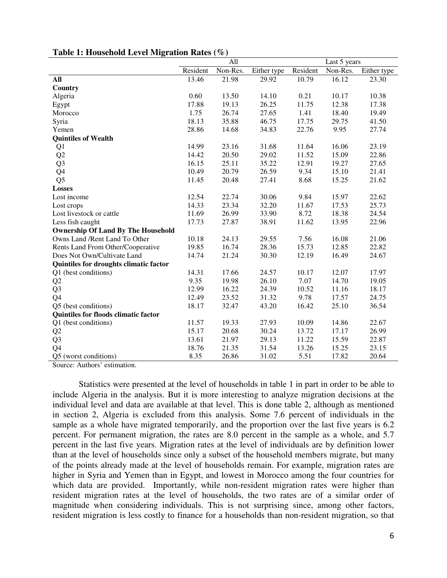|                                           | All      |          |             | Last 5 years |          |             |  |
|-------------------------------------------|----------|----------|-------------|--------------|----------|-------------|--|
|                                           | Resident | Non-Res. | Either type | Resident     | Non-Res. | Either type |  |
| All                                       | 13.46    | 21.98    | 29.92       | 10.79        | 16.12    | 23.30       |  |
| Country                                   |          |          |             |              |          |             |  |
| Algeria                                   | 0.60     | 13.50    | 14.10       | 0.21         | 10.17    | 10.38       |  |
| Egypt                                     | 17.88    | 19.13    | 26.25       | 11.75        | 12.38    | 17.38       |  |
| Morocco                                   | 1.75     | 26.74    | 27.65       | 1.41         | 18.40    | 19.49       |  |
| Syria                                     | 18.13    | 35.88    | 46.75       | 17.75        | 29.75    | 41.50       |  |
| Yemen                                     | 28.86    | 14.68    | 34.83       | 22.76        | 9.95     | 27.74       |  |
| <b>Quintiles of Wealth</b>                |          |          |             |              |          |             |  |
| Q1                                        | 14.99    | 23.16    | 31.68       | 11.64        | 16.06    | 23.19       |  |
| Q2                                        | 14.42    | 20.50    | 29.02       | 11.52        | 15.09    | 22.86       |  |
| Q <sub>3</sub>                            | 16.15    | 25.11    | 35.22       | 12.91        | 19.27    | 27.65       |  |
| Q4                                        | 10.49    | 20.79    | 26.59       | 9.34         | 15.10    | 21.41       |  |
| Q <sub>5</sub>                            | 11.45    | 20.48    | 27.41       | 8.68         | 15.25    | 21.62       |  |
| <b>Losses</b>                             |          |          |             |              |          |             |  |
| Lost income                               | 12.54    | 22.74    | 30.06       | 9.84         | 15.97    | 22.62       |  |
| Lost crops                                | 14.33    | 23.34    | 32.20       | 11.67        | 17.53    | 25.73       |  |
| Lost livestock or cattle                  | 11.69    | 26.99    | 33.90       | 8.72         | 18.38    | 24.54       |  |
| Less fish caught                          | 17.73    | 27.87    | 38.91       | 11.62        | 13.95    | 22.96       |  |
| <b>Ownership Of Land By The Household</b> |          |          |             |              |          |             |  |
| Owns Land /Rent Land To Other             | 10.18    | 24.13    | 29.55       | 7.56         | 16.08    | 21.06       |  |
| Rents Land From Other/Cooperative         | 19.85    | 16.74    | 28.36       | 15.73        | 12.85    | 22.82       |  |
| Does Not Own/Cultivate Land               | 14.74    | 21.24    | 30.30       | 12.19        | 16.49    | 24.67       |  |
| Quintiles for droughts climatic factor    |          |          |             |              |          |             |  |
| Q1 (best conditions)                      | 14.31    | 17.66    | 24.57       | 10.17        | 12.07    | 17.97       |  |
| Q <sub>2</sub>                            | 9.35     | 19.98    | 26.10       | 7.07         | 14.70    | 19.05       |  |
| Q <sub>3</sub>                            | 12.99    | 16.22    | 24.39       | 10.52        | 11.16    | 18.17       |  |
| Q4                                        | 12.49    | 23.52    | 31.32       | 9.78         | 17.57    | 24.75       |  |
| Q5 (best conditions)                      | 18.17    | 32.47    | 43.20       | 16.42        | 25.10    | 36.54       |  |
| Quintiles for floods climatic factor      |          |          |             |              |          |             |  |
| Q1 (best conditions)                      | 11.57    | 19.33    | 27.93       | 10.09        | 14.86    | 22.67       |  |
| $\mathbf{Q}2$                             | 15.17    | 20.68    | 30.24       | 13.72        | 17.17    | 26.99       |  |
| Q <sub>3</sub>                            | 13.61    | 21.97    | 29.13       | 11.22        | 15.59    | 22.87       |  |
| Q4                                        | 18.76    | 21.35    | 31.54       | 13.26        | 15.25    | 23.15       |  |
| Q5 (worst conditions)                     | 8.35     | 26.86    | 31.02       | 5.51         | 17.82    | 20.64       |  |

## **Table 1: Household Level Migration Rates (%)**

Source: Authors' estimation.

Statistics were presented at the level of households in table 1 in part in order to be able to include Algeria in the analysis. But it is more interesting to analyze migration decisions at the individual level and data are available at that level. This is done table 2, although as mentioned in section 2, Algeria is excluded from this analysis. Some 7.6 percent of individuals in the sample as a whole have migrated temporarily, and the proportion over the last five years is 6.2 percent. For permanent migration, the rates are 8.0 percent in the sample as a whole, and 5.7 percent in the last five years. Migration rates at the level of individuals are by definition lower than at the level of households since only a subset of the household members migrate, but many of the points already made at the level of households remain. For example, migration rates are higher in Syria and Yemen than in Egypt, and lowest in Morocco among the four countries for which data are provided. Importantly, while non-resident migration rates were higher than resident migration rates at the level of households, the two rates are of a similar order of magnitude when considering individuals. This is not surprising since, among other factors, resident migration is less costly to finance for a households than non-resident migration, so that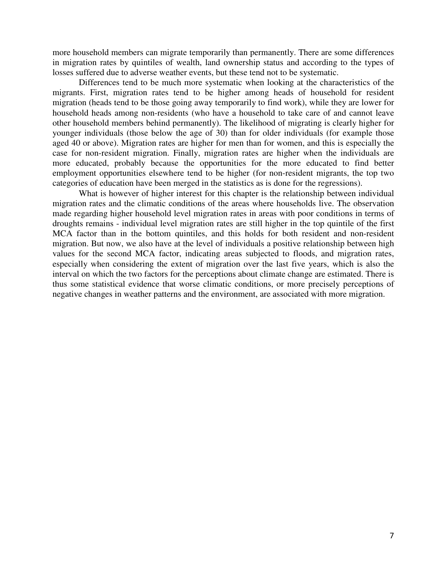more household members can migrate temporarily than permanently. There are some differences in migration rates by quintiles of wealth, land ownership status and according to the types of losses suffered due to adverse weather events, but these tend not to be systematic.

Differences tend to be much more systematic when looking at the characteristics of the migrants. First, migration rates tend to be higher among heads of household for resident migration (heads tend to be those going away temporarily to find work), while they are lower for household heads among non-residents (who have a household to take care of and cannot leave other household members behind permanently). The likelihood of migrating is clearly higher for younger individuals (those below the age of 30) than for older individuals (for example those aged 40 or above). Migration rates are higher for men than for women, and this is especially the case for non-resident migration. Finally, migration rates are higher when the individuals are more educated, probably because the opportunities for the more educated to find better employment opportunities elsewhere tend to be higher (for non-resident migrants, the top two categories of education have been merged in the statistics as is done for the regressions).

What is however of higher interest for this chapter is the relationship between individual migration rates and the climatic conditions of the areas where households live. The observation made regarding higher household level migration rates in areas with poor conditions in terms of droughts remains - individual level migration rates are still higher in the top quintile of the first MCA factor than in the bottom quintiles, and this holds for both resident and non-resident migration. But now, we also have at the level of individuals a positive relationship between high values for the second MCA factor, indicating areas subjected to floods, and migration rates, especially when considering the extent of migration over the last five years, which is also the interval on which the two factors for the perceptions about climate change are estimated. There is thus some statistical evidence that worse climatic conditions, or more precisely perceptions of negative changes in weather patterns and the environment, are associated with more migration.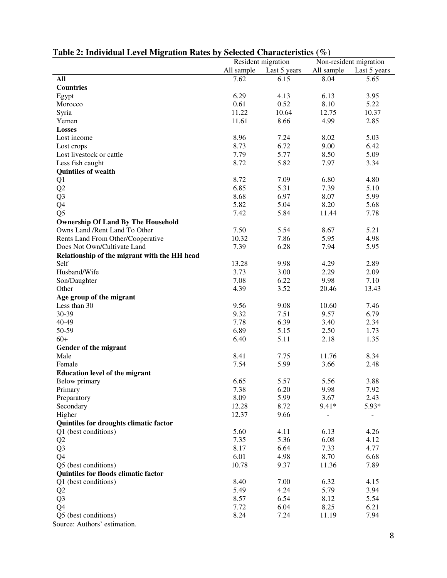|                                              | Resident migration |              | Non-resident migration |              |  |
|----------------------------------------------|--------------------|--------------|------------------------|--------------|--|
|                                              | All sample         | Last 5 years | All sample             | Last 5 years |  |
| All                                          | 7.62               | 6.15         | 8.04                   | 5.65         |  |
| <b>Countries</b>                             |                    |              |                        |              |  |
| Egypt                                        | 6.29               | 4.13         | 6.13                   | 3.95         |  |
| Morocco                                      | 0.61               | 0.52         | 8.10                   | 5.22         |  |
| Syria                                        | 11.22              | 10.64        | 12.75                  | 10.37        |  |
| Yemen                                        | 11.61              | 8.66         | 4.99                   | 2.85         |  |
| <b>Losses</b>                                |                    |              |                        |              |  |
| Lost income                                  | 8.96               | 7.24         | 8.02                   | 5.03         |  |
| Lost crops                                   | 8.73               | 6.72         | 9.00                   | 6.42         |  |
| Lost livestock or cattle                     | 7.79               | 5.77         | 8.50                   | 5.09         |  |
| Less fish caught                             | 8.72               | 5.82         | 7.97                   | 3.34         |  |
| Quintiles of wealth                          |                    |              |                        |              |  |
| Q1                                           | 8.72               | 7.09         | 6.80                   | 4.80         |  |
| Q2                                           | 6.85               | 5.31         | 7.39                   | 5.10         |  |
| Q <sub>3</sub>                               | 8.68               | 6.97         | 8.07                   | 5.99         |  |
| Q4                                           | 5.82               | 5.04         | 8.20                   | 5.68         |  |
| Q <sub>5</sub>                               | 7.42               | 5.84         | 11.44                  | 7.78         |  |
| <b>Ownership Of Land By The Household</b>    |                    |              |                        |              |  |
| Owns Land /Rent Land To Other                | 7.50               | 5.54         | 8.67                   | 5.21         |  |
| Rents Land From Other/Cooperative            | 10.32              | 7.86         | 5.95                   | 4.98         |  |
| Does Not Own/Cultivate Land                  | 7.39               | 6.28         | 7.94                   | 5.95         |  |
| Relationship of the migrant with the HH head |                    |              |                        |              |  |
| Self                                         | 13.28              | 9.98         | 4.29                   | 2.89         |  |
| Husband/Wife                                 | 3.73               | 3.00         | 2.29                   | 2.09         |  |
| Son/Daughter                                 | 7.08               | 6.22         | 9.98                   | 7.10         |  |
| Other                                        | 4.39               | 3.52         | 20.46                  | 13.43        |  |
| Age group of the migrant                     |                    |              |                        |              |  |
| Less than 30                                 | 9.56               | 9.08         | 10.60                  | 7.46         |  |
| 30-39                                        | 9.32               | 7.51         | 9.57                   | 6.79         |  |
| 40-49                                        | 7.78               | 6.39         | 3.40                   | 2.34         |  |
| 50-59                                        | 6.89               | 5.15         | 2.50                   | 1.73         |  |
| $60+$                                        | 6.40               | 5.11         | 2.18                   | 1.35         |  |
| Gender of the migrant                        |                    |              |                        |              |  |
| Male                                         | 8.41               | 7.75         | 11.76                  | 8.34         |  |
| Female                                       | 7.54               | 5.99         | 3.66                   | 2.48         |  |
| <b>Education level of the migrant</b>        |                    |              |                        |              |  |
| Below primary                                | 6.65               | 5.57         | 5.56                   | 3.88         |  |
| Primary                                      | 7.38               | 6.20         | 9.98                   | 7.92         |  |
| Preparatory                                  | 8.09               | 5.99         | 3.67                   | 2.43         |  |
| Secondary                                    | 12.28              | 8.72         | 9.41*                  | 5.93*        |  |
| Higher                                       | 12.37              | 9.66         |                        |              |  |
| Quintiles for droughts climatic factor       |                    |              |                        |              |  |
| Q1 (best conditions)                         | 5.60               | 4.11         | 6.13                   | 4.26         |  |
| Q2                                           | 7.35               | 5.36         | 6.08                   | 4.12         |  |
| Q <sub>3</sub>                               | 8.17               | 6.64         | 7.33                   | 4.77         |  |
| Q <sub>4</sub>                               | 6.01               | 4.98         | 8.70                   | 6.68         |  |
| Q5 (best conditions)                         | 10.78              | 9.37         | 11.36                  | 7.89         |  |
| Quintiles for floods climatic factor         |                    |              |                        |              |  |
| Q1 (best conditions)                         | 8.40               | 7.00         | 6.32                   | 4.15         |  |
| Q2                                           | 5.49               | 4.24         | 5.79                   | 3.94         |  |
| Q <sub>3</sub>                               | 8.57               | 6.54         | 8.12                   | 5.54         |  |
| Q4                                           | 7.72               | 6.04         | 8.25                   | 6.21         |  |
| Q5 (best conditions)                         | 8.24               | 7.24         | 11.19                  | 7.94         |  |

## **Table 2: Individual Level Migration Rates by Selected Characteristics (%)**

Source: Authors' estimation.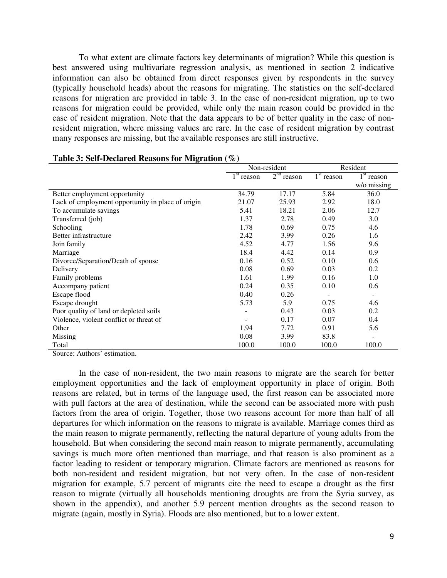To what extent are climate factors key determinants of migration? While this question is best answered using multivariate regression analysis, as mentioned in section 2 indicative information can also be obtained from direct responses given by respondents in the survey (typically household heads) about the reasons for migrating. The statistics on the self-declared reasons for migration are provided in table 3. In the case of non-resident migration, up to two reasons for migration could be provided, while only the main reason could be provided in the case of resident migration. Note that the data appears to be of better quality in the case of nonresident migration, where missing values are rare. In the case of resident migration by contrast many responses are missing, but the available responses are still instructive.

|                                                   | Non-resident |                           | Resident                          |              |
|---------------------------------------------------|--------------|---------------------------|-----------------------------------|--------------|
|                                                   | $1st$ reason | 2 <sup>nd</sup><br>reason | $\overline{1}^{\text{st}}$ reason | $1st$ reason |
|                                                   |              |                           |                                   | w/o missing  |
| Better employment opportunity                     | 34.79        | 17.17                     | 5.84                              | 36.0         |
| Lack of employment opportunity in place of origin | 21.07        | 25.93                     | 2.92                              | 18.0         |
| To accumulate savings                             | 5.41         | 18.21                     | 2.06                              | 12.7         |
| Transferred (job)                                 | 1.37         | 2.78                      | 0.49                              | 3.0          |
| Schooling                                         | 1.78         | 0.69                      | 0.75                              | 4.6          |
| Better infrastructure                             | 2.42         | 3.99                      | 0.26                              | 1.6          |
| Join family                                       | 4.52         | 4.77                      | 1.56                              | 9.6          |
| Marriage                                          | 18.4         | 4.42                      | 0.14                              | 0.9          |
| Divorce/Separation/Death of spouse                | 0.16         | 0.52                      | 0.10                              | 0.6          |
| Delivery                                          | 0.08         | 0.69                      | 0.03                              | 0.2          |
| Family problems                                   | 1.61         | 1.99                      | 0.16                              | 1.0          |
| Accompany patient                                 | 0.24         | 0.35                      | 0.10                              | 0.6          |
| Escape flood                                      | 0.40         | 0.26                      |                                   |              |
| Escape drought                                    | 5.73         | 5.9                       | 0.75                              | 4.6          |
| Poor quality of land or depleted soils            |              | 0.43                      | 0.03                              | 0.2          |
| Violence, violent conflict or threat of           |              | 0.17                      | 0.07                              | 0.4          |
| Other                                             | 1.94         | 7.72                      | 0.91                              | 5.6          |
| Missing                                           | 0.08         | 3.99                      | 83.8                              |              |
| Total                                             | 100.0        | 100.0                     | 100.0                             | 100.0        |

### **Table 3: Self-Declared Reasons for Migration (%)**

Source: Authors' estimation.

In the case of non-resident, the two main reasons to migrate are the search for better employment opportunities and the lack of employment opportunity in place of origin. Both reasons are related, but in terms of the language used, the first reason can be associated more with pull factors at the area of destination, while the second can be associated more with push factors from the area of origin. Together, those two reasons account for more than half of all departures for which information on the reasons to migrate is available. Marriage comes third as the main reason to migrate permanently, reflecting the natural departure of young adults from the household. But when considering the second main reason to migrate permanently, accumulating savings is much more often mentioned than marriage, and that reason is also prominent as a factor leading to resident or temporary migration. Climate factors are mentioned as reasons for both non-resident and resident migration, but not very often. In the case of non-resident migration for example, 5.7 percent of migrants cite the need to escape a drought as the first reason to migrate (virtually all households mentioning droughts are from the Syria survey, as shown in the appendix), and another 5.9 percent mention droughts as the second reason to migrate (again, mostly in Syria). Floods are also mentioned, but to a lower extent.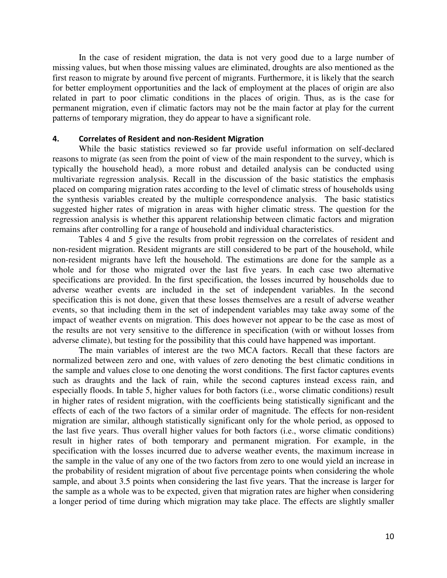In the case of resident migration, the data is not very good due to a large number of missing values, but when those missing values are eliminated, droughts are also mentioned as the first reason to migrate by around five percent of migrants. Furthermore, it is likely that the search for better employment opportunities and the lack of employment at the places of origin are also related in part to poor climatic conditions in the places of origin. Thus, as is the case for permanent migration, even if climatic factors may not be the main factor at play for the current patterns of temporary migration, they do appear to have a significant role.

## **4. Correlates of Resident and non-Resident Migration**

While the basic statistics reviewed so far provide useful information on self-declared reasons to migrate (as seen from the point of view of the main respondent to the survey, which is typically the household head), a more robust and detailed analysis can be conducted using multivariate regression analysis. Recall in the discussion of the basic statistics the emphasis placed on comparing migration rates according to the level of climatic stress of households using the synthesis variables created by the multiple correspondence analysis. The basic statistics suggested higher rates of migration in areas with higher climatic stress. The question for the regression analysis is whether this apparent relationship between climatic factors and migration remains after controlling for a range of household and individual characteristics.

Tables 4 and 5 give the results from probit regression on the correlates of resident and non-resident migration. Resident migrants are still considered to be part of the household, while non-resident migrants have left the household. The estimations are done for the sample as a whole and for those who migrated over the last five years. In each case two alternative specifications are provided. In the first specification, the losses incurred by households due to adverse weather events are included in the set of independent variables. In the second specification this is not done, given that these losses themselves are a result of adverse weather events, so that including them in the set of independent variables may take away some of the impact of weather events on migration. This does however not appear to be the case as most of the results are not very sensitive to the difference in specification (with or without losses from adverse climate), but testing for the possibility that this could have happened was important.

The main variables of interest are the two MCA factors. Recall that these factors are normalized between zero and one, with values of zero denoting the best climatic conditions in the sample and values close to one denoting the worst conditions. The first factor captures events such as draughts and the lack of rain, while the second captures instead excess rain, and especially floods. In table 5, higher values for both factors (i.e., worse climatic conditions) result in higher rates of resident migration, with the coefficients being statistically significant and the effects of each of the two factors of a similar order of magnitude. The effects for non-resident migration are similar, although statistically significant only for the whole period, as opposed to the last five years. Thus overall higher values for both factors (i.e., worse climatic conditions) result in higher rates of both temporary and permanent migration. For example, in the specification with the losses incurred due to adverse weather events, the maximum increase in the sample in the value of any one of the two factors from zero to one would yield an increase in the probability of resident migration of about five percentage points when considering the whole sample, and about 3.5 points when considering the last five years. That the increase is larger for the sample as a whole was to be expected, given that migration rates are higher when considering a longer period of time during which migration may take place. The effects are slightly smaller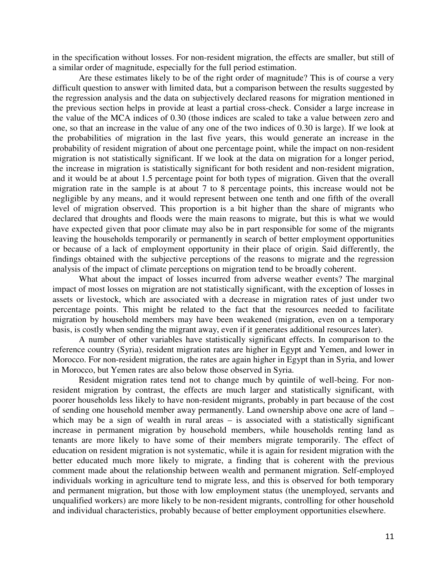in the specification without losses. For non-resident migration, the effects are smaller, but still of a similar order of magnitude, especially for the full period estimation.

Are these estimates likely to be of the right order of magnitude? This is of course a very difficult question to answer with limited data, but a comparison between the results suggested by the regression analysis and the data on subjectively declared reasons for migration mentioned in the previous section helps in provide at least a partial cross-check. Consider a large increase in the value of the MCA indices of 0.30 (those indices are scaled to take a value between zero and one, so that an increase in the value of any one of the two indices of 0.30 is large). If we look at the probabilities of migration in the last five years, this would generate an increase in the probability of resident migration of about one percentage point, while the impact on non-resident migration is not statistically significant. If we look at the data on migration for a longer period, the increase in migration is statistically significant for both resident and non-resident migration, and it would be at about 1.5 percentage point for both types of migration. Given that the overall migration rate in the sample is at about 7 to 8 percentage points, this increase would not be negligible by any means, and it would represent between one tenth and one fifth of the overall level of migration observed. This proportion is a bit higher than the share of migrants who declared that droughts and floods were the main reasons to migrate, but this is what we would have expected given that poor climate may also be in part responsible for some of the migrants leaving the households temporarily or permanently in search of better employment opportunities or because of a lack of employment opportunity in their place of origin. Said differently, the findings obtained with the subjective perceptions of the reasons to migrate and the regression analysis of the impact of climate perceptions on migration tend to be broadly coherent.

What about the impact of losses incurred from adverse weather events? The marginal impact of most losses on migration are not statistically significant, with the exception of losses in assets or livestock, which are associated with a decrease in migration rates of just under two percentage points. This might be related to the fact that the resources needed to facilitate migration by household members may have been weakened (migration, even on a temporary basis, is costly when sending the migrant away, even if it generates additional resources later).

A number of other variables have statistically significant effects. In comparison to the reference country (Syria), resident migration rates are higher in Egypt and Yemen, and lower in Morocco. For non-resident migration, the rates are again higher in Egypt than in Syria, and lower in Morocco, but Yemen rates are also below those observed in Syria.

Resident migration rates tend not to change much by quintile of well-being. For nonresident migration by contrast, the effects are much larger and statistically significant, with poorer households less likely to have non-resident migrants, probably in part because of the cost of sending one household member away permanently. Land ownership above one acre of land – which may be a sign of wealth in rural areas – is associated with a statistically significant increase in permanent migration by household members, while households renting land as tenants are more likely to have some of their members migrate temporarily. The effect of education on resident migration is not systematic, while it is again for resident migration with the better educated much more likely to migrate, a finding that is coherent with the previous comment made about the relationship between wealth and permanent migration. Self-employed individuals working in agriculture tend to migrate less, and this is observed for both temporary and permanent migration, but those with low employment status (the unemployed, servants and unqualified workers) are more likely to be non-resident migrants, controlling for other household and individual characteristics, probably because of better employment opportunities elsewhere.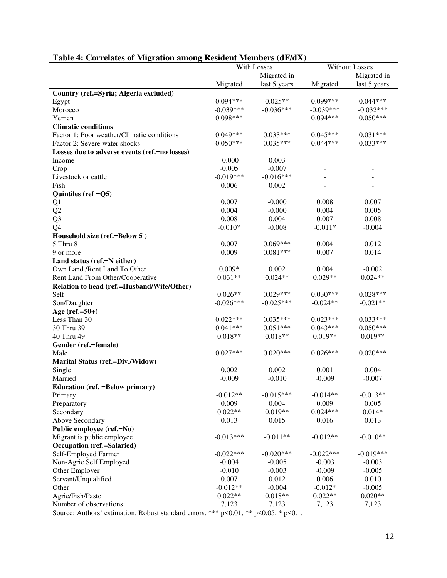| $\ldots$ correnated of $\ldots$<br>, wuxun minon        |             | $\cdots$<br>With Losses | Without Losses |              |  |
|---------------------------------------------------------|-------------|-------------------------|----------------|--------------|--|
|                                                         | Migrated in |                         |                | Migrated in  |  |
|                                                         | Migrated    | last 5 years            | Migrated       | last 5 years |  |
| Country (ref.=Syria; Algeria excluded)                  |             |                         |                |              |  |
|                                                         | $0.094***$  | $0.025**$               | $0.099***$     | $0.044***$   |  |
| Egypt                                                   | $-0.039***$ | $-0.036***$             | $-0.039***$    | $-0.032***$  |  |
| Morocco                                                 | $0.098***$  |                         | $0.094***$     | $0.050***$   |  |
| Yemen                                                   |             |                         |                |              |  |
| <b>Climatic conditions</b>                              |             |                         |                |              |  |
| Factor 1: Poor weather/Climatic conditions              | $0.049***$  | $0.033***$              | $0.045***$     | $0.031***$   |  |
| Factor 2: Severe water shocks                           | $0.050***$  | $0.035***$              | $0.044***$     | $0.033***$   |  |
| Losses due to adverse events (ref.=no losses)           |             |                         |                |              |  |
| Income                                                  | $-0.000$    | 0.003                   |                |              |  |
| Crop                                                    | $-0.005$    | $-0.007$                |                |              |  |
| Livestock or cattle                                     | $-0.019***$ | $-0.016***$             |                |              |  |
| Fish                                                    | 0.006       | 0.002                   |                |              |  |
| Quintiles ( $ref = Q5$ )                                |             |                         |                |              |  |
| Q1                                                      | 0.007       | $-0.000$                | 0.008          | 0.007        |  |
| Q2                                                      | 0.004       | $-0.000$                | 0.004          | 0.005        |  |
| Q <sub>3</sub>                                          | 0.008       | 0.004                   | 0.007          | 0.008        |  |
| Q4                                                      | $-0.010*$   | $-0.008$                | $-0.011*$      | $-0.004$     |  |
| Household size (ref.=Below 5)                           |             |                         |                |              |  |
| 5 Thru 8                                                | 0.007       | $0.069***$              | 0.004          | 0.012        |  |
| 9 or more                                               | 0.009       | $0.081***$              | 0.007          | 0.014        |  |
| Land status (ref.=N either)                             |             |                         |                |              |  |
| Own Land /Rent Land To Other                            | $0.009*$    | 0.002                   | 0.004          | $-0.002$     |  |
| Rent Land From Other/Cooperative                        | $0.031**$   | $0.024**$               | $0.029**$      | $0.024**$    |  |
| Relation to head (ref.=Husband/Wife/Other)              |             |                         |                |              |  |
| Self                                                    | $0.026**$   | $0.029***$              | $0.030***$     | $0.028***$   |  |
| Son/Daughter                                            | $-0.026***$ | $-0.025***$             | $-0.024**$     | $-0.021**$   |  |
| Age $(ref.=50+)$                                        |             |                         |                |              |  |
| Less Than 30                                            | $0.022***$  | $0.035***$              | $0.023***$     | $0.033***$   |  |
| 30 Thru 39                                              | $0.041***$  | $0.051***$              | $0.043***$     | $0.050***$   |  |
| 40 Thru 49                                              | $0.018**$   | $0.018**$               | $0.019**$      | $0.019**$    |  |
| Gender (ref.=female)                                    |             |                         |                |              |  |
| Male                                                    | $0.027***$  | $0.020***$              | $0.026***$     | $0.020***$   |  |
| Marital Status (ref.=Div./Widow)                        |             |                         |                |              |  |
| Single                                                  | 0.002       | 0.002                   | 0.001          | 0.004        |  |
| Married                                                 | $-0.009$    | $-0.010$                | $-0.009$       | $-0.007$     |  |
| <b>Education (ref. = Below primary)</b>                 |             |                         |                |              |  |
| Primary                                                 | $-0.012**$  | $-0.015***$             | $-0.014**$     | $-0.013**$   |  |
| Preparatory                                             | 0.009       | 0.004                   | 0.009          | 0.005        |  |
| Secondary                                               | $0.022**$   | $0.019**$               | $0.024***$     | $0.014*$     |  |
| Above Secondary                                         | 0.013       | 0.015                   | 0.016          | 0.013        |  |
|                                                         |             |                         |                |              |  |
| Public employee (ref.=No)<br>Migrant is public employee | $-0.013***$ |                         |                |              |  |
|                                                         |             | $-0.011**$              | $-0.012**$     | $-0.010**$   |  |
| <b>Occupation</b> (ref.=Salaried)                       | $-0.022***$ | $-0.020***$             | $-0.022***$    | $-0.019***$  |  |
| Self-Employed Farmer                                    |             |                         |                |              |  |
| Non-Agric Self Employed                                 | $-0.004$    | $-0.005$                | $-0.003$       | $-0.003$     |  |
| Other Employer                                          | $-0.010$    | $-0.003$                | $-0.009$       | $-0.005$     |  |
| Servant/Unqualified                                     | 0.007       | 0.012                   | 0.006          | 0.010        |  |
| Other                                                   | $-0.012**$  | $-0.004$                | $-0.012*$      | $-0.005$     |  |
| Agric/Fish/Pasto                                        | $0.022**$   | $0.018**$               | $0.022**$      | $0.020**$    |  |
| Number of observations                                  | 7,123       | 7,123                   | 7,123          | 7,123        |  |

# **Table 4: Correlates of Migration among Resident Members (dF/dX)**

Source: Authors' estimation. Robust standard errors. \*\*\* p<0.01, \*\* p<0.05, \* p<0.1.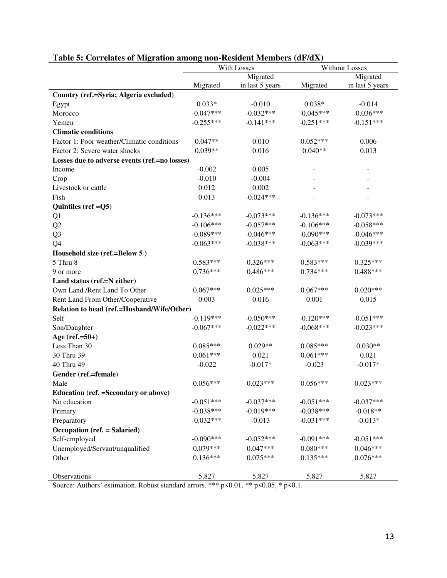| <b>Table 5. Correlates of imigration among non-ixesident intenders (dr/d<math>\mathbf{A}</math></b> |             | With Losses                                                                                                                                                                                                                                                                                                           | <b>Without Losses</b> |                 |  |
|-----------------------------------------------------------------------------------------------------|-------------|-----------------------------------------------------------------------------------------------------------------------------------------------------------------------------------------------------------------------------------------------------------------------------------------------------------------------|-----------------------|-----------------|--|
|                                                                                                     | Migrated    |                                                                                                                                                                                                                                                                                                                       |                       | Migrated        |  |
|                                                                                                     | Migrated    | in last 5 years                                                                                                                                                                                                                                                                                                       | Migrated              | in last 5 years |  |
| Country (ref.=Syria; Algeria excluded)                                                              |             |                                                                                                                                                                                                                                                                                                                       |                       |                 |  |
| Egypt                                                                                               | $0.033*$    | $-0.010$                                                                                                                                                                                                                                                                                                              | $0.038*$              | $-0.014$        |  |
| Morocco                                                                                             | $-0.047***$ | $-0.032***$                                                                                                                                                                                                                                                                                                           | $-0.045***$           | $-0.036***$     |  |
| Yemen                                                                                               | $-0.255***$ | $-0.141***$                                                                                                                                                                                                                                                                                                           | $-0.251***$           | $-0.151***$     |  |
| <b>Climatic conditions</b>                                                                          |             |                                                                                                                                                                                                                                                                                                                       |                       |                 |  |
| Factor 1: Poor weather/Climatic conditions                                                          | $0.047**$   | 0.010                                                                                                                                                                                                                                                                                                                 | $0.052***$            | 0.006           |  |
| Factor 2: Severe water shocks                                                                       | $0.039**$   | 0.016                                                                                                                                                                                                                                                                                                                 | $0.040**$             | 0.013           |  |
| Losses due to adverse events (ref.=no losses)                                                       |             |                                                                                                                                                                                                                                                                                                                       |                       |                 |  |
| Income                                                                                              | $-0.002$    | 0.005                                                                                                                                                                                                                                                                                                                 |                       |                 |  |
| Crop                                                                                                | $-0.010$    | $-0.004$                                                                                                                                                                                                                                                                                                              |                       |                 |  |
| Livestock or cattle                                                                                 | 0.012       | 0.002                                                                                                                                                                                                                                                                                                                 |                       |                 |  |
| Fish                                                                                                | 0.013       | $-0.024***$                                                                                                                                                                                                                                                                                                           |                       |                 |  |
| Quintiles ( $ref = Q5$ )                                                                            |             |                                                                                                                                                                                                                                                                                                                       |                       |                 |  |
| Q1                                                                                                  | $-0.136***$ | $-0.073***$                                                                                                                                                                                                                                                                                                           | $-0.136***$           | $-0.073***$     |  |
| Q2                                                                                                  | $-0.106***$ | $-0.057***$                                                                                                                                                                                                                                                                                                           | $-0.106***$           | $-0.058***$     |  |
| Q <sub>3</sub>                                                                                      | $-0.089***$ | $-0.046***$                                                                                                                                                                                                                                                                                                           | $-0.090***$           | $-0.046***$     |  |
| Q4                                                                                                  | $-0.063***$ | $-0.038***$                                                                                                                                                                                                                                                                                                           | $-0.063***$           | $-0.039***$     |  |
| Household size (ref.=Below 5)                                                                       |             |                                                                                                                                                                                                                                                                                                                       |                       |                 |  |
| 5 Thru 8                                                                                            | $0.583***$  | $0.326***$                                                                                                                                                                                                                                                                                                            | $0.583***$            | $0.325***$      |  |
| 9 or more                                                                                           | $0.736***$  | $0.486***$                                                                                                                                                                                                                                                                                                            | $0.734***$            | $0.488***$      |  |
| Land status (ref.=N either)                                                                         |             |                                                                                                                                                                                                                                                                                                                       |                       |                 |  |
| Own Land /Rent Land To Other                                                                        | $0.067***$  | $0.025***$                                                                                                                                                                                                                                                                                                            | $0.067***$            | $0.020***$      |  |
| Rent Land From Other/Cooperative                                                                    | 0.003       | 0.016                                                                                                                                                                                                                                                                                                                 | 0.001                 | 0.015           |  |
| Relation to head (ref.=Husband/Wife/Other)                                                          |             |                                                                                                                                                                                                                                                                                                                       |                       |                 |  |
| Self                                                                                                | $-0.119***$ | $-0.050***$                                                                                                                                                                                                                                                                                                           | $-0.120***$           | $-0.051***$     |  |
| Son/Daughter                                                                                        | $-0.067***$ | $-0.022***$                                                                                                                                                                                                                                                                                                           | $-0.068***$           | $-0.023***$     |  |
| Age $(ref.=50+)$                                                                                    |             |                                                                                                                                                                                                                                                                                                                       |                       |                 |  |
| Less Than 30                                                                                        | $0.085***$  | $0.029**$                                                                                                                                                                                                                                                                                                             | $0.085***$            | $0.030**$       |  |
| 30 Thru 39                                                                                          | $0.061***$  | 0.021                                                                                                                                                                                                                                                                                                                 | $0.061***$            | 0.021           |  |
| 40 Thru 49                                                                                          | $-0.022$    | $-0.017*$                                                                                                                                                                                                                                                                                                             | $-0.023$              | $-0.017*$       |  |
| Gender (ref.=female)                                                                                |             |                                                                                                                                                                                                                                                                                                                       |                       |                 |  |
| Male                                                                                                | $0.056***$  | $0.023***$                                                                                                                                                                                                                                                                                                            | $0.056***$            | $0.023***$      |  |
| Education (ref. = Secondary or above)                                                               |             |                                                                                                                                                                                                                                                                                                                       |                       |                 |  |
| No education                                                                                        | $-0.051***$ | $-0.037***$                                                                                                                                                                                                                                                                                                           | $-0.051***$           | $-0.037***$     |  |
| Primary                                                                                             | $-0.038***$ | $-0.019***$                                                                                                                                                                                                                                                                                                           | $-0.038***$           | $-0.018**$      |  |
| Preparatory                                                                                         | $-0.032***$ | $-0.013$                                                                                                                                                                                                                                                                                                              | $-0.031***$           | $-0.013*$       |  |
| <b>Occupation</b> (ref. = Salaried)                                                                 |             |                                                                                                                                                                                                                                                                                                                       |                       |                 |  |
| Self-employed                                                                                       | $-0.090***$ | $-0.052***$                                                                                                                                                                                                                                                                                                           | $-0.091***$           | $-0.051***$     |  |
| Unemployed/Servant/unqualified                                                                      | $0.079***$  | $0.047***$                                                                                                                                                                                                                                                                                                            | $0.080***$            | $0.046***$      |  |
| Other                                                                                               | $0.136***$  | $0.075***$                                                                                                                                                                                                                                                                                                            | $0.135***$            | $0.076***$      |  |
|                                                                                                     |             |                                                                                                                                                                                                                                                                                                                       |                       |                 |  |
| Observations                                                                                        | 5,827       | 5,827                                                                                                                                                                                                                                                                                                                 | 5,827                 | 5,827           |  |
| Course Authors' octimation Departmente                                                              |             | $\frac{1}{2}$ amove $\frac{1}{2}$ $\frac{1}{2}$ $\frac{1}{2}$ $\frac{1}{2}$ $\frac{1}{2}$ $\frac{1}{2}$ $\frac{1}{2}$ $\frac{1}{2}$ $\frac{1}{2}$ $\frac{1}{2}$ $\frac{1}{2}$ $\frac{1}{2}$ $\frac{1}{2}$ $\frac{1}{2}$ $\frac{1}{2}$ $\frac{1}{2}$ $\frac{1}{2}$ $\frac{1}{2}$ $\frac{1}{2}$ $\frac{1}{2}$ $\frac{1$ |                       |                 |  |

# **Table 5: Correlates of Migration among non-Resident Members (dF/dX)**

Source: Authors' estimation. Robust standard errors. \*\*\* p<0.01, \*\* p<0.05, \* p<0.1.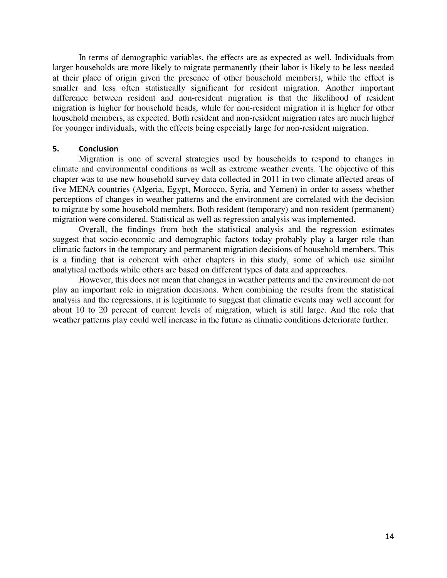In terms of demographic variables, the effects are as expected as well. Individuals from larger households are more likely to migrate permanently (their labor is likely to be less needed at their place of origin given the presence of other household members), while the effect is smaller and less often statistically significant for resident migration. Another important difference between resident and non-resident migration is that the likelihood of resident migration is higher for household heads, while for non-resident migration it is higher for other household members, as expected. Both resident and non-resident migration rates are much higher for younger individuals, with the effects being especially large for non-resident migration.

## **5. Conclusion**

Migration is one of several strategies used by households to respond to changes in climate and environmental conditions as well as extreme weather events. The objective of this chapter was to use new household survey data collected in 2011 in two climate affected areas of five MENA countries (Algeria, Egypt, Morocco, Syria, and Yemen) in order to assess whether perceptions of changes in weather patterns and the environment are correlated with the decision to migrate by some household members. Both resident (temporary) and non-resident (permanent) migration were considered. Statistical as well as regression analysis was implemented.

Overall, the findings from both the statistical analysis and the regression estimates suggest that socio-economic and demographic factors today probably play a larger role than climatic factors in the temporary and permanent migration decisions of household members. This is a finding that is coherent with other chapters in this study, some of which use similar analytical methods while others are based on different types of data and approaches.

However, this does not mean that changes in weather patterns and the environment do not play an important role in migration decisions. When combining the results from the statistical analysis and the regressions, it is legitimate to suggest that climatic events may well account for about 10 to 20 percent of current levels of migration, which is still large. And the role that weather patterns play could well increase in the future as climatic conditions deteriorate further.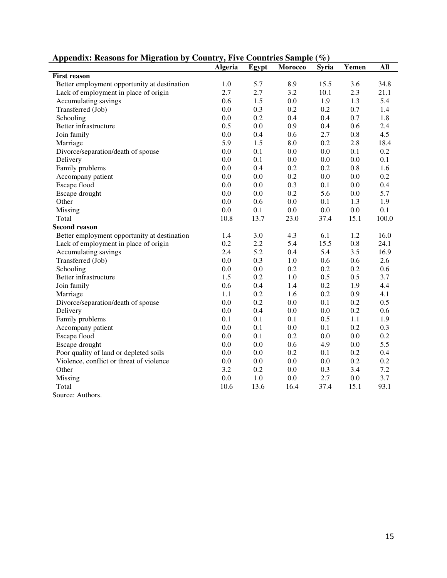|                                              | <b>Algeria</b> | Egypt | Morocco | Syria | Yemen | All   |
|----------------------------------------------|----------------|-------|---------|-------|-------|-------|
| <b>First reason</b>                          |                |       |         |       |       |       |
| Better employment opportunity at destination | 1.0            | 5.7   | 8.9     | 15.5  | 3.6   | 34.8  |
| Lack of employment in place of origin        | 2.7            | 2.7   | 3.2     | 10.1  | 2.3   | 21.1  |
| Accumulating savings                         | 0.6            | 1.5   | 0.0     | 1.9   | 1.3   | 5.4   |
| Transferred (Job)                            | 0.0            | 0.3   | 0.2     | 0.2   | 0.7   | 1.4   |
| Schooling                                    | 0.0            | 0.2   | 0.4     | 0.4   | 0.7   | 1.8   |
| Better infrastructure                        | 0.5            | 0.0   | 0.9     | 0.4   | 0.6   | 2.4   |
| Join family                                  | 0.0            | 0.4   | 0.6     | 2.7   | 0.8   | 4.5   |
| Marriage                                     | 5.9            | 1.5   | 8.0     | 0.2   | 2.8   | 18.4  |
| Divorce/separation/death of spouse           | 0.0            | 0.1   | 0.0     | 0.0   | 0.1   | 0.2   |
| Delivery                                     | 0.0            | 0.1   | 0.0     | 0.0   | 0.0   | 0.1   |
| Family problems                              | 0.0            | 0.4   | 0.2     | 0.2   | 0.8   | 1.6   |
| Accompany patient                            | 0.0            | 0.0   | 0.2     | 0.0   | 0.0   | 0.2   |
| Escape flood                                 | 0.0            | 0.0   | 0.3     | 0.1   | 0.0   | 0.4   |
| Escape drought                               | 0.0            | 0.0   | 0.2     | 5.6   | 0.0   | 5.7   |
| Other                                        | 0.0            | 0.6   | 0.0     | 0.1   | 1.3   | 1.9   |
| Missing                                      | 0.0            | 0.1   | 0.0     | 0.0   | 0.0   | 0.1   |
| Total                                        | 10.8           | 13.7  | 23.0    | 37.4  | 15.1  | 100.0 |
| <b>Second reason</b>                         |                |       |         |       |       |       |
| Better employment opportunity at destination | 1.4            | 3.0   | 4.3     | 6.1   | 1.2   | 16.0  |
| Lack of employment in place of origin        | 0.2            | 2.2   | 5.4     | 15.5  | 0.8   | 24.1  |
| Accumulating savings                         | 2.4            | 5.2   | 0.4     | 5.4   | 3.5   | 16.9  |
| Transferred (Job)                            | 0.0            | 0.3   | 1.0     | 0.6   | 0.6   | 2.6   |
| Schooling                                    | 0.0            | 0.0   | 0.2     | 0.2   | 0.2   | 0.6   |
| Better infrastructure                        | 1.5            | 0.2   | 1.0     | 0.5   | 0.5   | 3.7   |
| Join family                                  | 0.6            | 0.4   | 1.4     | 0.2   | 1.9   | 4.4   |
| Marriage                                     | 1.1            | 0.2   | 1.6     | 0.2   | 0.9   | 4.1   |
| Divorce/separation/death of spouse           | 0.0            | 0.2   | 0.0     | 0.1   | 0.2   | 0.5   |
| Delivery                                     | 0.0            | 0.4   | 0.0     | 0.0   | 0.2   | 0.6   |
| Family problems                              | 0.1            | 0.1   | 0.1     | 0.5   | 1.1   | 1.9   |
| Accompany patient                            | 0.0            | 0.1   | 0.0     | 0.1   | 0.2   | 0.3   |
| Escape flood                                 | 0.0            | 0.1   | 0.2     | 0.0   | 0.0   | 0.2   |
| Escape drought                               | 0.0            | 0.0   | 0.6     | 4.9   | 0.0   | 5.5   |
| Poor quality of land or depleted soils       | 0.0            | 0.0   | 0.2     | 0.1   | 0.2   | 0.4   |
| Violence, conflict or threat of violence     | 0.0            | 0.0   | 0.0     | 0.0   | 0.2   | 0.2   |
| Other                                        | 3.2            | 0.2   | 0.0     | 0.3   | 3.4   | 7.2   |
| Missing                                      | 0.0            | 1.0   | 0.0     | 2.7   | 0.0   | 3.7   |
| Total                                        | 10.6           | 13.6  | 16.4    | 37.4  | 15.1  | 93.1  |

**Appendix: Reasons for Migration by Country, Five Countries Sample (%)** 

Source: Authors.